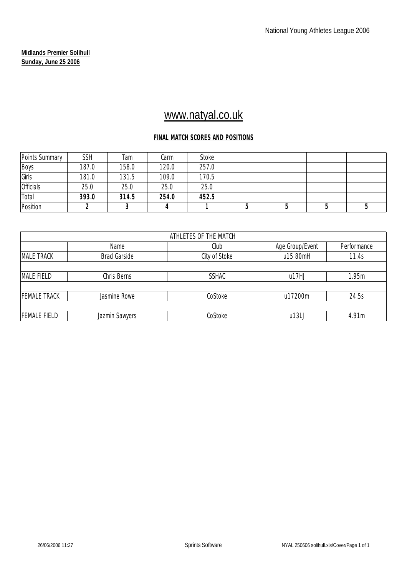# www.natyal.co.uk

### **FINAL MATCH SCORES AND POSITIONS**

| Points Summary   | <b>SSH</b> | Tam   | Carm  | Stoke |  |  |
|------------------|------------|-------|-------|-------|--|--|
| Boys             | 187.0      | 158.0 | 120.0 | 257.0 |  |  |
| Girls            | 181.0      | 131.5 | 109.0 | 170.5 |  |  |
| <b>Officials</b> | 25.0       | 25.0  | 25.0  | 25.0  |  |  |
| Total            | 393.0      | 314.5 | 254.0 | 452.5 |  |  |
| Position         |            |       |       |       |  |  |

|                     |                     | ATHLETES OF THE MATCH |                 |             |
|---------------------|---------------------|-----------------------|-----------------|-------------|
|                     | Name                | Club                  | Age Group/Event | Performance |
| <b>MALE TRACK</b>   | <b>Brad Garside</b> | City of Stoke         | u15 80mH        | 11.4s       |
|                     |                     |                       |                 |             |
| MALE FIELD          | Chris Berns         | <b>SSHAC</b>          | u17HJ           | 1.95m       |
|                     |                     |                       |                 |             |
| <b>FEMALE TRACK</b> | Jasmine Rowe        | CoStoke               | u17200m         | 24.5s       |
|                     |                     |                       |                 |             |
| <b>FEMALE FIELD</b> | Jazmin Sawyers      | CoStoke               | u13L            | 4.91m       |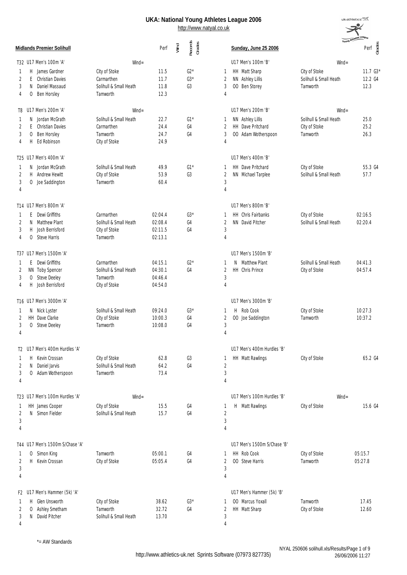

|                                            |                        |         |      |                   |                |                             |                        | Young Athleton      |
|--------------------------------------------|------------------------|---------|------|-------------------|----------------|-----------------------------|------------------------|---------------------|
| <b>Midlands Premier Solihull</b>           |                        | Perf    | Wind | Records<br>Grades |                | Sunday, June 25 2006        |                        | Perf $\frac{88}{5}$ |
| T32 U17 Men's 100m 'A'                     | $Wind =$               |         |      |                   |                | U17 Men's 100m 'B'          | $Wind =$               |                     |
| H.<br>James Gardner<br>1                   | City of Stoke          | 11.5    |      | $G2*$             | 1              | HH Matt Sharp               | City of Stoke          | $11.7G3*$           |
| 2<br>E<br><b>Christian Davies</b>          | Carmarthen             | 11.7    |      | $G3*$             | 2              | NN Ashley Lillis            | Solihull & Small Heath | 12.2 G4             |
| 3<br>N<br>Daniel Massaud                   | Solihull & Small Heath | 11.8    |      | G3                | 3              | 00 Ben Storey               | Tamworth               | 12.3                |
| Ben Horsley<br>4<br>0                      | Tamworth               | 12.3    |      |                   | 4              |                             |                        |                     |
| U17 Men's 200m 'A'<br>T8                   | $W\!ind =$             |         |      |                   |                | U17 Men's 200m 'B'          | $W\!in d =$            |                     |
| Jordan McGrath<br>N<br>1                   | Solihull & Small Heath | 22.7    |      | $G1*$             | 1              | NN Ashley Lillis            | Solihull & Small Heath | 25.0                |
| 2<br>E<br><b>Christian Davies</b>          | Carmarthen             | 24.4    |      | G4                | 2              | HH Dave Pritchard           | City of Stoke          | 25.2                |
| 3<br>Ben Horsley<br>0                      | Tamworth               | 24.7    |      | G4                | 3              | 00 Adam Wotherspoon         | Tamworth               | 26.3                |
| H.<br>Ed Robinson<br>4                     | City of Stoke          | 24.9    |      |                   | 4              |                             |                        |                     |
| T25 U17 Men's 400m 'A'                     |                        |         |      |                   |                | U17 Men's 400m 'B'          |                        |                     |
| N Jordan McGrath<br>1                      | Solihull & Small Heath | 49.9    |      | $G1*$             | 1              | HH Dave Pritchard           | City of Stoke          | 55.3 G4             |
| 2<br>H.<br>Andrew Hewitt                   | City of Stoke          | 53.9    |      | G <sub>3</sub>    | 2              | NN Michael Tarplee          | Solihull & Small Heath | 57.7                |
| 3<br>0<br>Joe Saddington                   | Tamworth               | 60.4    |      |                   | 3              |                             |                        |                     |
| 4                                          |                        |         |      |                   | $\overline{4}$ |                             |                        |                     |
| T14 U17 Men's 800m 'A'                     |                        |         |      |                   |                | U17 Men's 800m 'B'          |                        |                     |
| Dewi Griffiths<br>E<br>1                   | Carmarthen             | 02:04.4 |      | $G3*$             | 1              | <b>HH</b> Chris Fairbanks   | City of Stoke          | 02:16.5             |
| Matthew Plant<br>2<br>N.                   | Solihull & Small Heath | 02:08.4 |      | G4                | $\overline{2}$ | NN David Pitcher            | Solihull & Small Heath | 02:20.4             |
| 3<br>Josh Berrisford<br>H.                 | City of Stoke          | 02:11.5 |      | G4                | 3              |                             |                        |                     |
| <b>Steve Harris</b><br>4<br>0              | Tamworth               | 02:13.1 |      |                   | $\overline{4}$ |                             |                        |                     |
| T37 U17 Men's 1500m 'A'                    |                        |         |      |                   |                | U17 Men's 1500m 'B'         |                        |                     |
| Dewi Griffiths<br>E<br>1                   | Carmarthen             | 04:15.1 |      | $G2*$             | 1              | N Matthew Plant             | Solihull & Small Heath | 04:41.3             |
| NN Toby Spencer<br>2                       | Solihull & Small Heath | 04:30.1 |      | G4                | 2              | <b>HH</b> Chris Prince      | City of Stoke          | 04:57.4             |
| 3<br><b>Steve Deeley</b><br>0              | Tamworth               | 04:46.4 |      |                   | 3              |                             |                        |                     |
| H<br>Josh Berrisford<br>4                  | City of Stoke          | 04:54.0 |      |                   | $\overline{4}$ |                             |                        |                     |
| T16 U17 Men's 3000m 'A'                    |                        |         |      |                   |                | U17 Men's 3000m 'B'         |                        |                     |
| N Nick Lyster<br>1                         | Solihull & Small Heath | 09:24.0 |      | $G3*$             | 1              | H Rob Cook                  | City of Stoke          | 10:27.3             |
| HH Dave Clarke<br>2                        | City of Stoke          | 10:00.3 |      | G4                | 2              | 00 Joe Saddington           | Tamworth               | 10:37.2             |
| 3<br>$\overline{0}$<br><b>Steve Deeley</b> | Tamworth               | 10:08.0 |      | G4                | 3              |                             |                        |                     |
| 4                                          |                        |         |      |                   | $\overline{4}$ |                             |                        |                     |
| T2 U17 Men's 400m Hurdles 'A'              |                        |         |      |                   |                | U17 Men's 400m Hurdles 'B'  |                        |                     |
| Kevin Crossan<br>Н                         | City of Stoke          | 62.8    |      | G3                |                | HH Matt Rawlings            | City of Stoke          | 65.2 G4             |
| Daniel Jarvis<br>N<br>2                    | Solihull & Small Heath | 64.2    |      | G4                | $\overline{c}$ |                             |                        |                     |
| 3<br>O Adam Wotherspoon                    | Tamworth               | 73.4    |      |                   | 3              |                             |                        |                     |
| 4                                          |                        |         |      |                   | 4              |                             |                        |                     |
| T23 U17 Men's 100m Hurdles 'A'             | $W\!in d =$            |         |      |                   |                | U17 Men's 100m Hurdles 'B'  | $Wind =$               |                     |
| HH James Cooper<br>1                       | City of Stoke          | 15.5    |      | G4                | 1              | H Matt Rawlings             | City of Stoke          | 15.6 G4             |
| Simon Fielder<br>2<br>N.                   | Solihull & Small Heath | 15.7    |      | G4                | $\overline{2}$ |                             |                        |                     |
| 3                                          |                        |         |      |                   | 3              |                             |                        |                     |
| 4                                          |                        |         |      |                   | $\overline{4}$ |                             |                        |                     |
| T44 U17 Men's 1500m S/Chase 'A'            |                        |         |      |                   |                | U17 Men's 1500m S/Chase 'B' |                        |                     |
| O Simon King<br>1                          | Tamworth               | 05:00.1 |      | G4                | 1              | HH Rob Cook                 | City of Stoke          | 05:15.7             |
| 2<br>H.<br>Kevin Crossan                   | City of Stoke          | 05:05.4 |      | G4                | 2              | 00 Steve Harris             | Tamworth               | 05:27.8             |
| 3                                          |                        |         |      |                   | 3              |                             |                        |                     |
| 4                                          |                        |         |      |                   | 4              |                             |                        |                     |
| F2 U17 Men's Hammer (5k) 'A'               |                        |         |      |                   |                | U17 Men's Hammer (5k) 'B'   |                        |                     |
| Glen Unsworth<br>H.<br>1                   | City of Stoke          | 38.62   |      | $G3*$             | 1              | OO Marcus Yoxall            | Tamworth               | 17.45               |
| Ashley Smetham<br>2<br>0                   | Tamworth               | 32.72   |      | G4                | $\overline{2}$ | HH Matt Sharp               | City of Stoke          | 12.60               |
| David Pitcher<br>3<br>N                    | Solihull & Small Heath | 13.70   |      |                   | 3              |                             |                        |                     |
| 4                                          |                        |         |      |                   | 4              |                             |                        |                     |

\*= AW Standards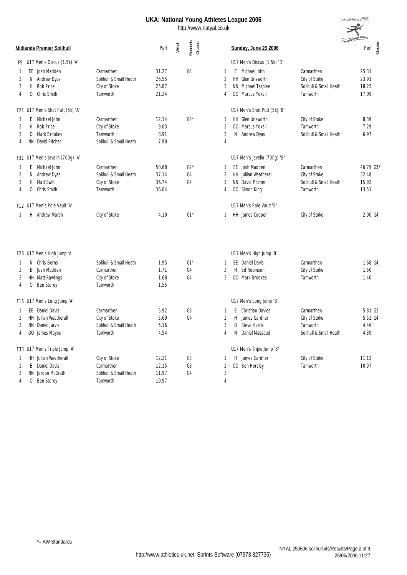|   |    |                                  |                        |       |      | http://www.natyal.co.uk |                | <b>National Tourish Minotes Ecague 2000</b> |                                      |
|---|----|----------------------------------|------------------------|-------|------|-------------------------|----------------|---------------------------------------------|--------------------------------------|
|   |    | <b>Midlands Premier Solihull</b> |                        | Perf  | Wind | Records<br>Grades       |                | Sunday, June 25 2006                        | <b>Young Athletes</b><br>Perf<br>Geo |
|   |    | F9 U17 Men's Discus (1.5k) 'A'   |                        |       |      |                         |                | U17 Men's Discus (1.5k) 'B'                 |                                      |
|   |    | EE Josh Madden                   | Carmarthen             | 31.27 |      | G4                      | $\overline{1}$ | E Michael John<br>Carmarthen                | 25.31                                |
| 2 |    | N Andrew Dyas                    | Solihull & Small Heath | 26.55 |      |                         | $\overline{2}$ | HH Glen Unsworth<br>City of Stoke           | 23.91                                |
| 3 | H  | Rob Price                        | City of Stoke          | 25.87 |      |                         | 3              | NN Michael Tarplee                          | Solihull & Small Heath<br>18.25      |
| 4 | 0  | Chris Smith                      | Tamworth               | 21.34 |      |                         | 4              | 00 Marcus Yoxall<br>Tamworth                | 17.09                                |
|   |    | F21 U17 Men's Shot Putt (5k) 'A' |                        |       |      |                         |                | U17 Men's Shot Putt (5k) 'B'                |                                      |
| 1 |    | E Michael John                   | Carmarthen             | 12.14 |      | $G4*$                   | 1              | HH Glen Unsworth<br>City of Stoke           | 8.39                                 |
| 2 |    | H Rob Price                      | City of Stoke          | 9.03  |      |                         | $\overline{2}$ | 00 Marcus Yoxall<br>Tamworth                | 7.29                                 |
| 3 |    | O Mark Brookes                   | Tamworth               | 8.91  |      |                         | 3              | N Andrew Dyas                               | 6.97<br>Solihull & Small Heath       |
| 4 |    | NN David Pitcher                 | Solihull & Small Heath | 7.90  |      |                         | 4              |                                             |                                      |
|   |    | F31 U17 Men's Javelin (700g) 'A' |                        |       |      |                         |                | U17 Men's Javelin (700g) 'B'                |                                      |
| 1 |    | E Michael John                   | Carmarthen             | 50.68 |      | $G2*$                   | 1              | EE Josh Madden<br>Carmarthen                | 46.79 G3*                            |
| 2 |    | N Andrew Dyas                    | Solihull & Small Heath | 37.14 |      | G4                      | $\overline{2}$ | HH Jullian Weatherall<br>City of Stoke      | 32.48                                |
| 3 | H  | Matt Swift                       | City of Stoke          | 36.74 |      | G4                      | 3              | NN David Pitcher                            | 15.92<br>Solihull & Small Heath      |
| 4 | 0  | Chris Smith                      | Tamworth               | 36.04 |      |                         | 4              | 00 Simon King<br>Tamworth                   | 13.51                                |
|   |    | F12 U17 Men's Pole Vault 'A'     |                        |       |      |                         |                | U17 Men's Pole Vault 'B'                    |                                      |
| 1 |    | H Andrew Marsh                   | City of Stoke          | 4.10  |      | $G1*$                   | 1              | HH James Cooper<br>City of Stoke            | 2.90 G4                              |
|   |    |                                  |                        |       |      |                         |                |                                             |                                      |
|   |    | F28 U17 Men's High Jump 'A'      |                        |       |      |                         |                | U17 Men's High Jump 'B'                     |                                      |
| 1 | N. | Chris Berns                      | Solihull & Small Heath | 1.95  |      | $G1*$                   | 1              | EE Daniel Davis<br>Carmarthen               | 1.68 G4                              |
| 2 | E. | Josh Madden                      | Carmarthen             | 1.71  |      | G4                      | 2              | H Ed Robinson<br>City of Stoke              | 1.50                                 |
| 3 |    | HH Matt Rawlings                 | City of Stoke          | 1.68  |      | G4                      | 3              | 00 Mark Brookes<br>Tamworth                 | 1.40                                 |
| 4 |    | O Ben Storey                     | Tamworth               | 1.55  |      |                         |                |                                             |                                      |
|   |    | F16 U17 Men's Long Jump 'A'      |                        |       |      |                         |                | U17 Men's Long Jump 'B'                     |                                      |
|   |    | EE Daniel Davis                  | Carmarthen             | 5.92  |      | G3                      | 1              | E Christian Davies<br>Carmarthen            | 5.81 G3                              |
|   |    | HH Jullian Weatherall            | City of Stoke          | 5.69  |      | G4                      | 2              | H James Gardner<br>City of Stoke            | 5.52 G4                              |
| 3 |    | NN Daniel Jarvis                 | Solihull & Small Heath | 5.16  |      |                         | 3              | 0 Steve Harris<br>Tamworth                  | 4.46                                 |
| 4 |    | OO James Mayou                   | Tamworth               | 4.54  |      |                         | 4              | N Daniel Massaud                            | Solihull & Small Heath<br>4.39       |
|   |    | F33 U17 Men's Triple Jump 'A'    |                        |       |      |                         |                | U17 Men's Triple Jump 'B'                   |                                      |
| 1 |    | HH Jullian Weatherall            | City of Stoke          | 12.21 |      | G3                      | 1              | H James Gardner<br>City of Stoke            | 11.12                                |
| 2 |    | E Daniel Davis                   | Carmarthen             | 12.15 |      | G3                      | $\overline{2}$ | 00 Ben Horsley<br>Tamworth                  | 10.97                                |
| 3 |    | NN Jordan McGrath                | Solihull & Small Heath | 11.97 |      | G4                      | 3              |                                             |                                      |
| 4 |    | O Ben Storey                     | Tamworth               | 10.97 |      |                         | 4              |                                             |                                      |

 $uk:$ athletics $\overrightarrow{X}$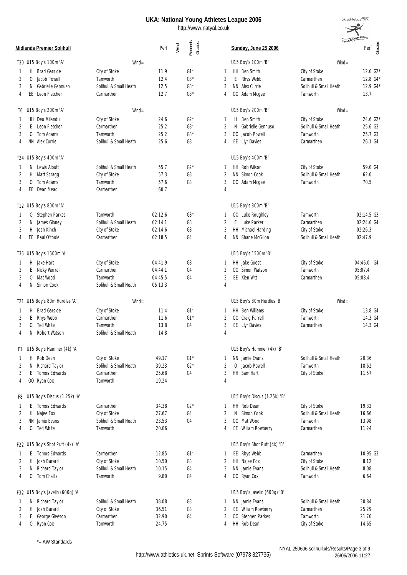

|                |              | <b>Midlands Premier Solihull</b> |                        | Perf    | Wind | Records<br>Grades |                | Sunday, June 25 2006         |                        | Young Athle<br>Perf go |
|----------------|--------------|----------------------------------|------------------------|---------|------|-------------------|----------------|------------------------------|------------------------|------------------------|
|                |              | T30 U15 Boy's 100m 'A'           | $W\!in d =$            |         |      |                   |                | U15 Boy's 100m 'B'           | $Wind =$               |                        |
| -1             |              | H Brad Garside                   | City of Stoke          | 11.9    |      | $G1*$             | 1              | HH Ben Smith                 | City of Stoke          | 12.0 G2*               |
| 2              | 0            | Jacob Powell                     | Tamworth               | 12.4    |      | $G3*$             | 2              | $E_{\perp}$<br>Rhys Webb     | Carmarthen             | 12.8 G4*               |
| 3              | N            | Gabrielle Gennuso                | Solihull & Small Heath | 12.5    |      | $G3*$             | 3              | NN Alex Currie               | Solihull & Small Heath | 12.9 G4*               |
| 4              |              | EE Leon Fletcher                 | Carmarthen             | 12.7    |      | $G3*$             | 4              | 00 Adam Mcgee                | Tamworth               | 13.7                   |
|                |              | T6 U15 Boy's 200m 'A'            | $W\!in d =$            |         |      |                   |                | U15 Boy's 200m 'B'           | $W\!in d =$            |                        |
| 1              |              | HH Deo Milandu                   | City of Stoke          | 24.6    |      | $G2*$             | 1              | Ben Smith<br>H               | City of Stoke          | 24.6 G2*               |
| 2              |              | E Leon Fletcher                  | Carmarthen             | 25.2    |      | $G3*$             | 2              | N Gabrielle Gennuso          | Solihull & Small Heath | 25.6 G3                |
| 3              |              | O Tom Adams                      | Tamworth               | 25.2    |      | $G3*$             | 3              | 00 Jacob Powell              | Tamworth               | 25.7 G3                |
| $\overline{4}$ |              | NN Alex Currie                   | Solihull & Small Heath | 25.6    |      | G <sub>3</sub>    | 4              | EE Llyr Davies               | Carmarthen             | 26.1 G4                |
|                |              | T24 U15 Boy's 400m 'A'           |                        |         |      |                   |                | U15 Boy's 400m 'B'           |                        |                        |
| 1              |              | N Lewis Albutt                   | Solihull & Small Heath | 55.7    |      | $G2*$             |                | HH Rob Wilson                | City of Stoke          | 59.0 G4                |
| 2              | H.           | Matt Scragg                      | City of Stoke          | 57.3    |      | G3                | 2              | NN Simon Cook                | Solihull & Small Heath | 62.0                   |
| 3              | $\Omega$     | Tom Adams                        | Tamworth               | 57.6    |      | G3                | 3              | 00 Adam Mcgee                | Tamworth               | 70.5                   |
| 4              |              | EE Dean Mead                     | Carmarthen             | 60.7    |      |                   | $\overline{4}$ |                              |                        |                        |
|                |              | T12 U15 Boy's 800m 'A'           |                        |         |      |                   |                | U15 Boy's 800m 'B'           |                        |                        |
| 1              | 0            | Stephen Parkes                   | Tamworth               | 02:12.6 |      | $G3*$             | 1              | 00 Luke Roughley             | Tamworth               | 02:14.5 G3             |
| 2              | N            | James Gibney                     | Solihull & Small Heath | 02:14.1 |      | G3                | $\overline{2}$ | E Luke Parker                | Carmarthen             | 02:24.6 G4             |
| 3              | H.           | Josh Kinch                       | City of Stoke          | 02:14.6 |      | G3                | 3              | HH Michael Harding           | City of Stoke          | 02:26.3                |
| 4              |              | EE Paul O'toole                  | Carmarthen             | 02:18.5 |      | G4                | 4              | NN Shane McGillon            | Solihull & Small Heath | 02:47.9                |
|                |              | T35 U15 Boy's 1500m 'A'          |                        |         |      |                   |                | U15 Boy's 1500m 'B'          |                        |                        |
| 1              | H.           | Jake Hart                        | City of Stoke          | 04:41.9 |      | G3                | 1              | HH Jake Guest                | City of Stoke          | 04:46.0 G4             |
| 2              |              | E Nicky Worrall                  | Carmarthen             | 04:44.1 |      | G4                | 2              | 00 Simon Watson              | Tamworth               | 05:07.4                |
| 3              | 0            | Mat Wood                         | Tamworth               | 04:45.5 |      | G <sub>4</sub>    | 3              | EE Xien Witt                 | Carmarthen             | 05:08.4                |
| 4              | N            | Simon Cook                       | Solihull & Small Heath | 05:13.3 |      |                   | $\overline{4}$ |                              |                        |                        |
|                |              | T21 U15 Boy's 80m Hurdles 'A'    | $W\!in d =$            |         |      |                   |                | U15 Boy's 80m Hurdles 'B'    | $W\!ind =$             |                        |
| 1              |              | H Brad Garside                   | City of Stoke          | 11.4    |      | $G1*$             | 1              | HH Ben Williams              | City of Stoke          | 13.8 G4                |
| 2              | E            | Rhys Webb                        | Carmarthen             | 11.6    |      | $G1*$             | 2              | 00 Craig Farrell             | Tamworth               | 14.3 G4                |
| 3              | $\mathbf{0}$ | Ted White                        | Tamworth               | 13.8    |      | G4                | 3              | EE Llyr Davies               | Carmarthen             | 14.3 G4                |
| 4              | N            | Robert Watson                    | Solihull & Small Heath | 14.8    |      |                   | 4              |                              |                        |                        |
| F1.            |              | U15 Boy's Hammer (4k) 'A'        |                        |         |      |                   |                | U15 Boy's Hammer (4k) 'B'    |                        |                        |
| 1              | H.           | Rob Dean                         | City of Stoke          | 49.17   |      | $G1*$             |                | NN Jamie Evans               | Solihull & Small Heath | 20.36                  |
| 2              | N            | Richard Taylor                   | Solihull & Small Heath | 39.23   |      | $G2*$             | $\overline{2}$ | O Jacob Powell               | Tamworth               | 18.62                  |
| 3              |              | E Tomos Edwards                  | Carmarthen             | 25.68   |      | G4                | 3              | HH Sam Hart                  | City of Stoke          | 11.57                  |
| 4              |              | OO Ryan Cox                      | Tamworth               | 19.24   |      |                   | 4              |                              |                        |                        |
|                |              | F8 U15 Boy's Discus (1.25k) 'A'  |                        |         |      |                   |                | U15 Boy's Discus (1.25k) 'B' |                        |                        |
| 1              | E.           | Tomos Edwards                    | Carmarthen             | 34.38   |      | $G2*$             | 1              | HH Rob Dean                  | City of Stoke          | 19.32                  |
| 2              | H.           | Najee Fox                        | City of Stoke          | 27.67   |      | G4                | 2              | N Simon Cook                 | Solihull & Small Heath | 16.66                  |
| 3              |              | NN Jamie Evans                   | Solihull & Small Heath | 23.53   |      | G4                | 3              | OO Mat Wood                  | Tamworth               | 13.98                  |
| 4              | 0            | Ted White                        | Tamworth               | 20.06   |      |                   | 4              | EE William Rowberry          | Carmarthen             | 11.24                  |
|                |              | F22 U15 Boy's Shot Putt (4k) 'A' |                        |         |      |                   |                | U15 Boy's Shot Putt (4k) 'B' |                        |                        |
| 1              |              | E Tomos Edwards                  | Carmarthen             | 12.85   |      | $G1*$             | 1              | EE Rhys Webb                 | Carmarthen             | 10.95 G3               |
| 2              | H            | Josh Barard                      | City of Stoke          | 10.50   |      | G3                | 2              | HH Najee Fox                 | City of Stoke          | 8.12                   |
| 3              | N            | Richard Taylor                   | Solihull & Small Heath | 10.15   |      | G4                | 3              | NN Jamie Evans               | Solihull & Small Heath | 8.08                   |
| 4              | 0            | Tom Challis                      | Tamworth               | 9.80    |      | G4                | 4              | OO Ryan Cox                  | Tamworth               | 6.64                   |
|                |              | F32 U15 Boy's Javelin (600g) 'A' |                        |         |      |                   |                | U15 Boy's Javelin (600g) 'B' |                        |                        |
| -1             | N.           | Richard Taylor                   | Solihull & Small Heath | 38.08   |      | G3                | 1              | NN Jamie Evans               | Solihull & Small Heath | 30.84                  |
| 2              | H.           | Josh Barard                      | City of Stoke          | 36.51   |      | G3                | 2              | EE William Rowberry          | Carmarthen             | 25.29                  |
| 3              | E.           | George Gleeson                   | Carmarthen             | 32.90   |      | G4                | 3              | 00 Stephen Parkes            | Tamworth               | 21.70                  |
| 4              |              | O Ryan Cox                       | Tamworth               | 24.75   |      |                   | 4              | HH Rob Dean                  | City of Stoke          | 14.65                  |

\*= AW Standards

NYAL 250606 solihull.xls/Results/Page 3 of 9 26/06/2006 11:27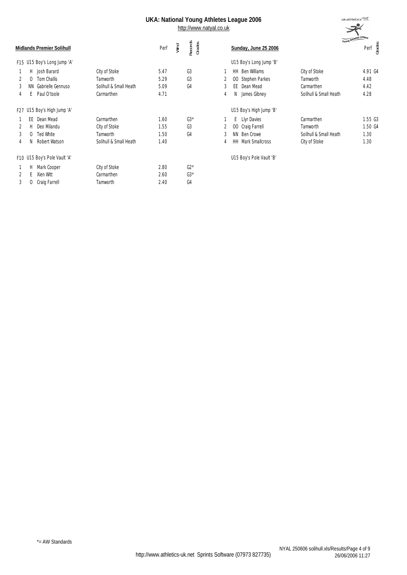|   |     | <b>Midlands Premier Solihull</b> |                        | Perf | Wind | Records<br>Grades |   | Sunday, June 25 2006              | Young Athles           | Grades<br>Perf |
|---|-----|----------------------------------|------------------------|------|------|-------------------|---|-----------------------------------|------------------------|----------------|
|   |     | F15 U15 Boy's Long Jump 'A'      |                        |      |      |                   |   | U15 Boy's Long Jump 'B'           |                        |                |
|   |     |                                  |                        |      |      |                   |   |                                   |                        |                |
|   | Н   | Josh Barard                      | City of Stoke          | 5.47 |      | G3                |   | <b>HH</b> Ben Williams            | City of Stoke          | 4.91 G4        |
|   | 0   | Tom Challis                      | Tamworth               | 5.29 |      | G3                |   | Stephen Parkes<br>00 <sup>°</sup> | Tamworth               | 4.48           |
| 3 | ΝN. | Gabrielle Gennuso                | Solihull & Small Heath | 5.09 |      | G4                | 3 | EE Dean Mead                      | Carmarthen             | 4.42           |
| 4 |     | Paul O'toole                     | Carmarthen             | 4.71 |      |                   | 4 | James Gibney<br>N                 | Solihull & Small Heath | 4.28           |
|   |     | F27 U15 Boy's High Jump 'A'      |                        |      |      |                   |   | U15 Boy's High Jump 'B'           |                        |                |
|   |     | EE Dean Mead                     | Carmarthen             | 1.60 |      | $63*$             |   | E Llyr Davies                     | Carmarthen             | 1.55 G3        |
|   | н   | Deo Milandu                      | City of Stoke          | 1.55 |      | G3                |   | 00 Craig Farrell                  | Tamworth               | 1.50 G4        |
| 3 |     | <b>Ted White</b>                 | Tamworth               | 1.50 |      | G4                | 3 | NN Ben Crowe                      | Solihull & Small Heath | 1.30           |
| 4 | Ν   | Robert Watson                    | Solihull & Small Heath | 1.40 |      |                   | 4 | Mark Smallcross<br>HH.            | City of Stoke          | 1.30           |
|   |     | F10 U15 Boy's Pole Vault 'A'     |                        |      |      |                   |   | U15 Boy's Pole Vault 'B'          |                        |                |
|   | H   | Mark Cooper                      | City of Stoke          | 2.80 |      | $G2*$             |   |                                   |                        |                |
|   |     | Xien Witt                        | Carmarthen             | 2.60 |      | $G3*$             |   |                                   |                        |                |
| 3 | 0   | Craig Farrell                    | Tamworth               | 2.40 |      | G4                |   |                                   |                        |                |
|   |     |                                  |                        |      |      |                   |   |                                   |                        |                |

|     |                           |                        | Young Athletes League |         |       |
|-----|---------------------------|------------------------|-----------------------|---------|-------|
|     | Sunday, June 25 2006      |                        |                       | Perf    | Geber |
|     | U15 Boy's Long Jump 'B'   |                        |                       |         |       |
| HH. | <b>Ben Williams</b>       | City of Stoke          |                       | 4.91 G4 |       |
|     | 00 Stephen Parkes         | Tamworth               |                       | 4.48    |       |
| FF. | Dean Mead                 | Carmarthen             |                       | 4.42    |       |
| N   | James Gibney              | Solihull & Small Heath |                       | 4.28    |       |
|     | U15 Boy's High Jump 'B'   |                        |                       |         |       |
| F   | Llyr Davies               | Carmarthen             |                       | 1.55 G3 |       |
| OO. | Craig Farrell             | Tamworth               |                       | 1.50 G4 |       |
| ΝN  | Ben Crowe                 | Solihull & Small Heath |                       | 1.30    |       |
|     | <b>HH</b> Mark Smallcross | City of Stoke          |                       | 1.30    |       |
|     | U15 Boy's Pole Vault 'B'  |                        |                       |         |       |

 $uk:$ athletics $\equiv$  $\mathcal{R}$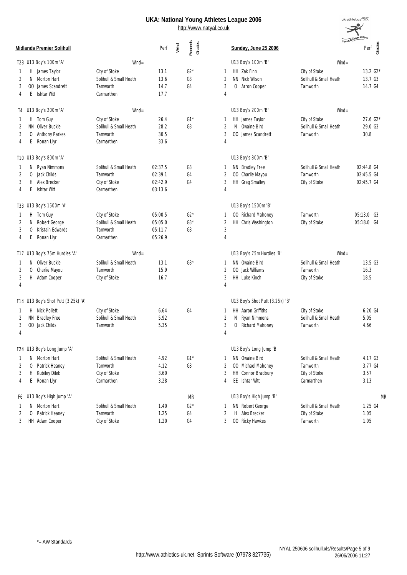

|    |          | Midlands Premier Solihull           |                        | Perf    | Wind | Records<br>Grades |                | Sunday, June 25 2006            | Young <b>M</b>         | Grades<br>Perf |
|----|----------|-------------------------------------|------------------------|---------|------|-------------------|----------------|---------------------------------|------------------------|----------------|
|    |          | T28 U13 Boy's 100m 'A'              | $W\!ind =$             |         |      |                   |                | U13 Boy's 100m 'B'              | $W\!in d =$            |                |
|    |          | H James Taylor                      | City of Stoke          | 13.1    |      | $G2*$             | 1              | HH Zak Finn                     | City of Stoke          | 13.2 G2*       |
| 2  |          | N Morton Hart                       | Solihull & Small Heath | 13.6    |      | G3                | 2              | NN Nick Wilson                  | Solihull & Small Heath | 13.7 G3        |
| 3  |          | 00 James Scandrett                  | Tamworth               | 14.7    |      | G4                | 3              | O Arron Cooper                  | Tamworth               | 14.7 G4        |
| 4  | E.       | Ishtar Witt                         | Carmarthen             | 17.7    |      |                   | 4              |                                 |                        |                |
|    |          | T4 U13 Boy's 200m 'A'               | $W\!ind =$             |         |      |                   |                | U13 Boy's 200m 'B'              | $W\!ind =$             |                |
|    |          | H Tom Guy                           | City of Stoke          | 26.4    |      | $G1*$             | 1              | HH James Taylor                 | City of Stoke          | 27.6 G2*       |
| 2  |          | NN Oliver Buckle                    | Solihull & Small Heath | 28.2    |      | G <sub>3</sub>    | 2              | Owaine Bird<br>N                | Solihull & Small Heath | 29.0 G3        |
| 3  |          | O Anthony Parkes                    | Tamworth               | 30.5    |      |                   | 3              | 00 James Scandrett              | Tamworth               | 30.8           |
| 4  | Ε        | Ronan Llyr                          | Carmarthen             | 33.6    |      |                   | $\overline{4}$ |                                 |                        |                |
|    |          | T10 U13 Boy's 800m 'A'              |                        |         |      |                   |                | U13 Boy's 800m 'B'              |                        |                |
|    |          | N Ryan Nimmons                      | Solihull & Small Heath | 02:37.5 |      | G3                | 1              | NN Bradley Free                 | Solihull & Small Heath | 02:44.8 G4     |
| 2  |          | O Jack Childs                       | Tamworth               | 02:39.1 |      | G4                | 2              | 00 Charlie Mayou                | Tamworth               | 02:45.5 G4     |
| 3  |          | H Alex Brecker                      | City of Stoke          | 02:42.9 |      | G4                | 3              | HH Greg Smalley                 | City of Stoke          | 02:45.7 G4     |
| 4  |          | E Ishtar Witt                       | Carmarthen             | 03:13.6 |      |                   | $\overline{4}$ |                                 |                        |                |
|    |          | T33 U13 Boy's 1500m 'A'             |                        |         |      |                   |                | U13 Boy's 1500m 'B'             |                        |                |
| -1 |          | H Tom Guy                           | City of Stoke          | 05:00.5 |      | $G2*$             | 1              | 00 Richard Mahoney              | Tamworth               | 05:13.0 G3     |
| 2  | N.       | Robert George                       | Solihull & Small Heath | 05:05.0 |      | $G3*$             | 2              | HH Chris Washington             | City of Stoke          | 05:18.0 G4     |
| 3  | $\Omega$ | Kristain Edwards                    | Tamworth               | 05:11.7 |      | G <sub>3</sub>    | $\sqrt{3}$     |                                 |                        |                |
| 4  | E        | Ronan Llyr                          | Carmarthen             | 05:26.9 |      |                   | $\overline{4}$ |                                 |                        |                |
|    |          | T17 U13 Boy's 75m Hurdles 'A'       | $Wind =$               |         |      |                   |                | U13 Boy's 75m Hurdles 'B'       | $W\!ind =$             |                |
|    |          | N Oliver Buckle                     | Solihull & Small Heath | 13.1    |      | $G3*$             | 1              | NN Owaine Bird                  | Solihull & Small Heath | 13.5 G3        |
| 2  | 0        | Charlie Mayou                       | Tamworth               | 15.9    |      |                   | 2              | 00 Jack Williams                | Tamworth               | 16.3           |
| 3  |          | H Adam Cooper                       | City of Stoke          | 16.7    |      |                   | 3              | HH Luke Kinch                   | City of Stoke          | 18.5           |
| 4  |          |                                     |                        |         |      |                   | $\overline{4}$ |                                 |                        |                |
|    |          | F14 U13 Boy's Shot Putt (3.25k) 'A' |                        |         |      |                   |                | U13 Boy's Shot Putt (3.25k) 'B' |                        |                |
|    |          | H Nick Pollett                      | City of Stoke          | 6.64    |      | G4                | 1              | HH Aaron Griffiths              | City of Stoke          | 6.20 G4        |
| 2  |          | NN Bradley Free                     | Solihull & Small Heath | 5.92    |      |                   | 2              | N<br>Ryan Nimmons               | Solihull & Small Heath | 5.05           |
| 3  |          | 00 Jack Childs                      | Tamworth               | 5.35    |      |                   | 3              | Richard Mahoney<br>0            | Tamworth               | 4.66           |
| 4  |          |                                     |                        |         |      |                   | 4              |                                 |                        |                |
|    |          | F24 U13 Boy's Long Jump 'A'         |                        |         |      |                   |                | U13 Boy's Long Jump 'B'         |                        |                |
| -1 |          | N Morton Hart                       | Solihull & Small Heath | 4.92    |      | $G1*$             | 1              | NN Owaine Bird                  | Solihull & Small Heath | 4.17 G3        |
| 2  |          | O Patrick Heaney                    | Tamworth               | 4.12    |      | G3                | 2              | 00 Michael Mahoney              | Tamworth               | 3.77 G4        |
| 3  | H.       | Kubiley Dilek                       | City of Stoke          | 3.60    |      |                   | 3              | HH Connor Bradbury              | City of Stoke          | 3.57           |
| 4  | E.       | Ronan Llyr                          | Carmarthen             | 3.28    |      |                   | 4              | EE Ishtar Witt                  | Carmarthen             | 3.13           |
|    |          | F6 U13 Boy's High Jump 'A'          |                        |         |      | <b>MR</b>         |                | U13 Boy's High Jump 'B'         |                        | MR             |
| 1  |          | N Morton Hart                       | Solihull & Small Heath | 1.40    |      | $G2*$             | 1              | NN Robert George                | Solihull & Small Heath | 1.25 G4        |
| 2  |          | O Patrick Heaney                    | Tamworth               | 1.25    |      | G4                | 2              | Alex Brecker<br>H.              | City of Stoke          | 1.05           |
| 3  |          | HH Adam Cooper                      | City of Stoke          | 1.20    |      | G4                | 3              | OO Ricky Hawkes                 | Tamworth               | 1.05           |
|    |          |                                     |                        |         |      |                   |                |                                 |                        |                |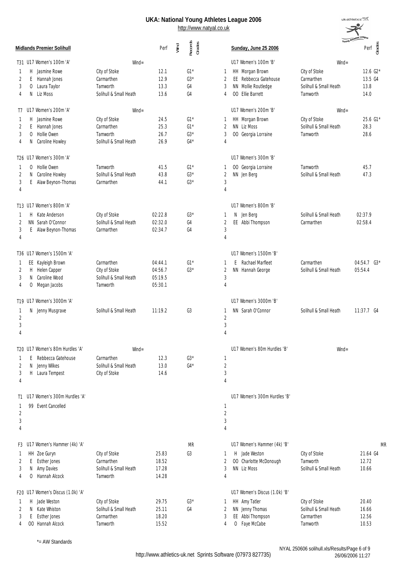2 N Caroline Howley Solihull & Small Heath 43.8 G3\* 2 NN Jen Berg Solihull & Small Heath 47.3

3 E Alaw Beynon-Thomas Carmarthen 44.1 G3\* 3 4 4

2 N Jenny Wilkes Solihull & Small Heath 13.0 G4\* 2 3 H Laura Tempest City of Stoke 14.6 3 4 4

1 99 Event Cancelled 1 2  $\sim$  2  $3 \times 3$ 4 4

|               |                          |                        |      | UKA: National Young Athletes League 2006<br>http://www.natyal.co.uk |   |                                  |                        | uk:athletics <b>三</b>                   |
|---------------|--------------------------|------------------------|------|---------------------------------------------------------------------|---|----------------------------------|------------------------|-----------------------------------------|
|               | idlands Premier Solihull |                        | Perf | Records<br>Grades<br>Wind                                           |   | Sunday, June 25 2006             |                        | Young Athletes League<br>Grades<br>Perf |
|               | 31 U17 Women's 100m 'A'  | $W\!in d =$            |      |                                                                     |   | U17 Women's 100m 'B'             | $W\!in d =$            |                                         |
| H             | Jasmine Rowe             | City of Stoke          | 12.1 | $G1*$                                                               |   | HH Morgan Brown                  | City of Stoke          | 12.6 $G2*$                              |
| 2             | Hannah Jones<br>E.       | Carmarthen             | 12.9 | $G3*$                                                               |   | EE Rebbecca Gatehouse            | Carmarthen             | 13.5 G4                                 |
| 3<br>$\Omega$ | Laura Taylor             | <b>Tamworth</b>        | 13.3 | G4                                                                  | 3 | NN Mollie Routledge              | Solihull & Small Heath | 13.8                                    |
|               | Liz Moss<br>N            | Solihull & Small Heath | 13.6 | G4                                                                  | 4 | Ellie Barrett<br>00 <sup>1</sup> | Tamworth               | 14.0                                    |
| T7.           | U17 Women's 200m 'A'     | $W\!in d =$            |      |                                                                     |   | U17 Women's 200m 'B'             | $W\!in d =$            |                                         |
| H             | Jasmine Rowe             | City of Stoke          | 24.5 | $G1*$                                                               |   | HH Morgan Brown                  | City of Stoke          | 25.6 G1*                                |
|               | Hannah Jones<br>F.       | Carmarthen             | 25.3 | $G1*$                                                               | 2 | NN Liz Moss                      | Solihull & Small Heath | 28.3                                    |
| 3             | Hollie Owen<br>$\Omega$  | Tamworth               | 26.7 | $G3*$                                                               | 3 | 00 Georgia Lorraine              | Tamworth               | 28.6                                    |
| N<br>4        | Caroline Howley          | Solihull & Small Heath | 26.9 | $G4*$                                                               | 4 |                                  |                        |                                         |
|               | 26 U17 Women's 300m 'A'  |                        |      |                                                                     |   | U17 Women's 300m 'B'             |                        |                                         |
|               | O Hollie Owen            | Tamworth               | 41.5 | $G1*$                                                               |   | 00 Georgia Lorraine              | Tamworth               | 45.7                                    |

| 4                        | 4                    |
|--------------------------|----------------------|
|                          |                      |
| T13 U17 Women's 800m 'A' | U17 Women's 800m 'B' |

|  | Kate Anderson<br>2 NN Sarah O'Connor<br>3 E Alaw Beynon-Thomas | City of Stoke<br>Solihull & Small Heath<br>Carmarthen | 02:22.8<br>02:32.0<br>02:34.7 | $63*$<br>G4<br>(4) |  | N Jen Berg<br>2 EE Abbi Thompson | Solihull & Small Heath<br>Carmarthen | 02:37.9<br>02:58.4 |
|--|----------------------------------------------------------------|-------------------------------------------------------|-------------------------------|--------------------|--|----------------------------------|--------------------------------------|--------------------|
|  |                                                                |                                                       |                               |                    |  |                                  |                                      |                    |

|               | T36 U17 Women's 1500m 'A' |                        |         |       | U17 Women's 1500m 'B' |                        |                 |
|---------------|---------------------------|------------------------|---------|-------|-----------------------|------------------------|-----------------|
|               | 1 EE Kayleigh Brown       | Carmarthen             | 04:44.1 | $G1*$ | E Rachael Marfleet    | Carmarthen             | $04:54.7$ $G3*$ |
|               | 2 H Helen Capper          | City of Stoke          | 04:56.7 | $G3*$ | 2 NN Hannah George    | Solihull & Small Heath | 05:54.4         |
| $\mathcal{E}$ | N Caroline Wood           | Solihull & Small Heath | 05:19.5 |       |                       |                        |                 |
|               | 4 O Megan Jacobs          | Tamworth               | 05:30.1 |       |                       |                        |                 |
|               | T19 U17 Women's 3000m 'A' |                        |         |       | U17 Women's 3000m 'B' |                        |                 |

| 4 | 1 N Jenny Musgrave                                      | Solihull & Small Heath | 11:19.2 | G3    | NN Sarah O'Connor           | Solihull & Small Heath | $11:37.7$ G4 |
|---|---------------------------------------------------------|------------------------|---------|-------|-----------------------------|------------------------|--------------|
|   | T20 U17 Women's 80m Hurdles 'A'<br>E Rebbecca Gatehouse | $Wind =$<br>Carmarthen | 2.3     | $G3*$ | U17 Women's 80m Hurdles 'B' | $W\!in\!d=$            |              |

U17 Women's 300m Hurdles 'B'

| 4                   |            |                                                              |                                                                          |                                  |                | 4 |                                                                            |                                                                   |                                  |
|---------------------|------------|--------------------------------------------------------------|--------------------------------------------------------------------------|----------------------------------|----------------|---|----------------------------------------------------------------------------|-------------------------------------------------------------------|----------------------------------|
|                     |            | F3 U17 Women's Hammer (4k) 'A'                               |                                                                          |                                  | <b>MR</b>      |   | U17 Women's Hammer (4k) 'B'                                                |                                                                   | MR                               |
| 3<br>4              | N          | HH Zoe Guryn<br>Esther Jones<br>Amy Davies<br>Hannah Alcock  | City of Stoke<br>Carmarthen<br>Solihull & Small Heath<br>Tamworth        | 25.83<br>18.52<br>17.28<br>14.28 | G <sub>3</sub> | 4 | Jade Weston<br>н<br>00 Charlotte McDonough<br>NN Liz Moss                  | City of Stoke<br>Tamworth<br>Solihull & Small Heath               | 21.64 G4<br>12.72<br>10.66       |
|                     |            | 20 U17 Women's Discus (1.0k) 'A'                             |                                                                          |                                  |                |   | U17 Women's Discus (1.0k) 'B'                                              |                                                                   |                                  |
| $1$ H<br>$3 -$<br>4 | -N<br>- 00 | Jade Weston<br>Kate Whiston<br>Esther Jones<br>Hannah Alcock | City of Stoke<br>Solihull & Small Heath<br>Carmarthen<br><b>Tamworth</b> | 29.75<br>25.11<br>18.20<br>15.52 | $G3*$<br>G4    |   | <b>HH</b> Amy Tatler<br>NN Jenny Thomas<br>EE Abbi Thompson<br>Faye McCabe | City of Stoke<br>Solihull & Small Heath<br>Carmarthen<br>Tamworth | 20.40<br>16.66<br>12.56<br>10.53 |

\*= AW Standards

U17 Women's 300m Hurdles 'A'

T1

http://www.athletics-uk.net Sprints Software (07973 827735)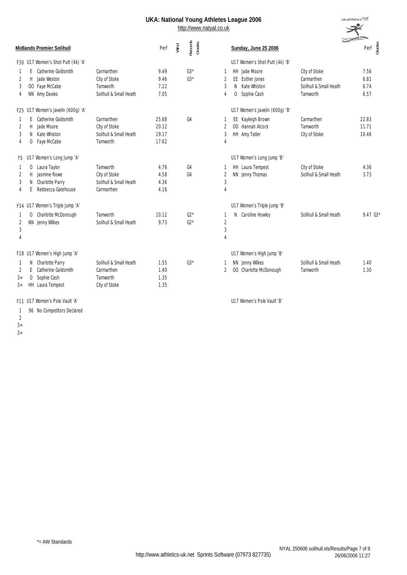http://www.natyal.co.uk

|      |    |                                    |                        |       |      |                   |                |                                | Young Atm              |                    |  |
|------|----|------------------------------------|------------------------|-------|------|-------------------|----------------|--------------------------------|------------------------|--------------------|--|
|      |    | <b>Midlands Premier Solihull</b>   |                        | Perf  | Wind | Records<br>Grades |                | Sunday, June 25 2006           |                        | Perf $\frac{3}{5}$ |  |
|      |    | F30 U17 Women's Shot Putt (4k) 'A' |                        |       |      |                   |                | U17 Women's Shot Putt (4k) 'B' |                        |                    |  |
|      | F  | Catherine Goldsmith                | Carmarthen             | 9.49  |      | $G3*$             | -1             | HH Jade Moore                  | City of Stoke          | 7.56               |  |
| 2    |    | H Jade Weston                      | City of Stoke          | 9.46  |      | $G3*$             | $\overline{2}$ | EE Esther Jones                | Carmarthen             | 6.81               |  |
| 3    |    | OO Faye McCabe                     | Tamworth               | 7.22  |      |                   | 3              | N Kate Whiston                 | Solihull & Small Heath | 6.74               |  |
| 4    |    | NN Amy Davies                      | Solihull & Small Heath | 7.05  |      |                   | 4              | O Sophie Cash                  | Tamworth               | 6.57               |  |
|      |    | F25 U17 Women's Javelin (600g) 'A' |                        |       |      |                   |                | U17 Women's Javelin (600g) 'B' |                        |                    |  |
| 1    | F. | Catherine Goldsmith                | Carmarthen             | 25.68 |      | G4                | -1             | EE Kayleigh Brown              | Carmarthen             | 22.83              |  |
| 2    | H  | Jade Moore                         | City of Stoke          | 20.12 |      |                   | $\overline{2}$ | 00 Hannah Alcock               | Tamworth               | 11.71              |  |
| 3    | N. | Kate Whiston                       | Solihull & Small Heath | 19.17 |      |                   | 3              | HH Amy Tatler                  | City of Stoke          | 10.46              |  |
| 4    | 0  | Faye McCabe                        | Tamworth               | 17.62 |      |                   | 4              |                                |                        |                    |  |
|      |    | F5 U17 Women's Long Jump 'A'       |                        |       |      |                   |                | U17 Women's Long Jump 'B'      |                        |                    |  |
|      | 0  | Laura Taylor                       | Tamworth               | 4.76  |      | G <sub>4</sub>    | -1             | HH Laura Tempest               | City of Stoke          | 4.36               |  |
| 2    | H. | Jasmine Rowe                       | City of Stoke          | 4.58  |      | G4                | $\overline{2}$ | NN Jenny Thomas                | Solihull & Small Heath | 3.73               |  |
| 3    | N. | Charlotte Parry                    | Solihull & Small Heath | 4.36  |      |                   | 3              |                                |                        |                    |  |
| 4    | E  | Rebbecca Gatehouse                 | Carmarthen             | 4.16  |      |                   | $\overline{4}$ |                                |                        |                    |  |
|      |    | F34 U17 Women's Triple Jump 'A'    |                        |       |      |                   |                | U17 Women's Triple Jump 'B'    |                        |                    |  |
|      |    | O Charlotte McDonough              | Tamworth               | 10.12 |      | $G2*$             | -1             | Caroline Howley<br>N.          | Solihull & Small Heath | $9.47\;63*$        |  |
| 2    |    | NN Jenny Wilkes                    | Solihull & Small Heath | 9.73  |      | $G2*$             | $\overline{2}$ |                                |                        |                    |  |
| 3    |    |                                    |                        |       |      |                   | 3              |                                |                        |                    |  |
| 4    |    |                                    |                        |       |      |                   | 4              |                                |                        |                    |  |
|      |    | F18 U17 Women's High Jump 'A'      |                        |       |      |                   |                | U17 Women's High Jump 'B'      |                        |                    |  |
|      | N. | Charlotte Parry                    | Solihull & Small Heath | 1.55  |      | $G3*$             | -1             | NN Jenny Wilkes                | Solihull & Small Heath | 1.40               |  |
| 2    | F  | Catherine Goldsmith                | Carmarthen             | 1.40  |      |                   | 2              | 00 Charlotte McDonough         | Tamworth               | 1.30               |  |
| $3=$ | 0  | Sophie Cash                        | Tamworth               | 1.35  |      |                   |                |                                |                        |                    |  |
| $3=$ |    | HH Laura Tempest                   | City of Stoke          | 1.35  |      |                   |                |                                |                        |                    |  |
|      |    | F11 U17 Women's Pole Vault 'A'     |                        |       |      |                   |                | U17 Women's Pole Vault 'B      |                        |                    |  |

| <u>un</u>        |                |                                |                                    |                               |
|------------------|----------------|--------------------------------|------------------------------------|-------------------------------|
|                  |                | <b>Sunday, June 25 2006</b>    |                                    | Young Athletes League<br>Perf |
|                  |                | U17 Women's Shot Putt (4k) 'B' |                                    |                               |
| 1                |                | HH Jade Moore                  | City of Stoke                      | 7.56                          |
| 2                |                | FF Fsther Jones                | Carmarthen                         | 6.81                          |
| 3<br>4           | N.<br>$\Omega$ | Kate Whiston<br>Sophie Cash    | Solihull & Small Heath<br>Tamworth | 6.74<br>6.57                  |
|                  |                | U17 Women's Javelin (600g) 'B' |                                    |                               |
| 1                | EE             | Kayleigh Brown                 | Carmarthen                         | 22.83                         |
| 2                | 00             | Hannah Alcock                  | Tamworth                           | 11.71                         |
| 3<br>4           |                | HH Amy Tatler                  | City of Stoke                      | 10.46                         |
|                  |                | U17 Women's Long Jump 'B'      |                                    |                               |
| 1                |                | HH Laura Tempest               | City of Stoke                      | 4.36                          |
| 2<br>3<br>4      |                | NN Jenny Thomas                | Solihull & Small Heath             | 3.73                          |
|                  |                | U17 Women's Triple Jump 'B'    |                                    |                               |
| 1<br>2<br>3<br>4 | N              | Caroline Howley                | Solihull & Small Heath             | 9.47 $G3*$                    |
|                  |                | U17 Women's High Jump 'B'      |                                    |                               |
| 1                |                | NN Jenny Wilkes                | Solihull & Small Heath             | 1.40                          |
| 2                |                | 00 Charlotte McDonough         | Tamworth                           | 1.30                          |

1 96 No Competitors Declared

2

 $3=$  $3=$ 

 $\rightarrow$ 

 $uk:$ athletics $\equiv$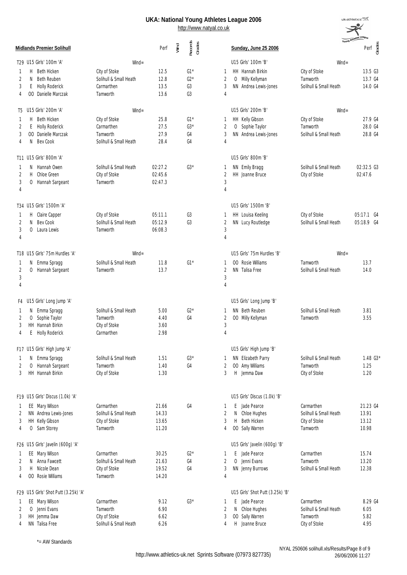

|                |    | Midlands Premier Solihull                    |                                         | Perf           | Wind | Records<br>Grades                |                              | Sunday, June 25 2006              | Young <b>AU</b>        | Perf ga        |
|----------------|----|----------------------------------------------|-----------------------------------------|----------------|------|----------------------------------|------------------------------|-----------------------------------|------------------------|----------------|
|                |    | T29 U15 Girls' 100m 'A'                      | $W\!ind =$                              |                |      |                                  |                              | U15 Girls' 100m 'B'               | $W\!in d =$            |                |
| -1             | H. | Beth Hicken                                  | City of Stoke                           | 12.5           |      | $G1*$                            | 1                            | HH Hannah Birkin                  | City of Stoke          | 13.5 G3        |
| 2              | N  | <b>Beth Reuben</b>                           | Solihull & Small Heath                  | 12.8           |      | $G2*$                            | $\overline{2}$               | O Milly Kellyman                  | Tamworth               | 13.7 G4        |
| 3<br>4         | E. | <b>Holly Roderick</b><br>00 Danielle Marczak | Carmarthen<br>Tamworth                  | 13.5<br>13.6   |      | G <sub>3</sub><br>G <sub>3</sub> | 3<br>4                       | NN Andrea Lewis-Jones             | Solihull & Small Heath | 14.0 G4        |
|                |    | T5 U15 Girls' 200m 'A'                       | $W\!ind =$                              |                |      |                                  |                              | U15 Girls' 200m 'B'               | $W\!in d =$            |                |
|                | H. | Beth Hicken                                  | City of Stoke                           | 25.8           |      | $G1*$                            | -1                           | HH Kelly Gibson                   | City of Stoke          | 27.9 G4        |
| 2              | E  | <b>Holly Roderick</b>                        | Carmarthen                              | 27.5           |      | $G3*$                            | $\overline{2}$               | Sophie Taylor<br>$\overline{0}$   | Tamworth               | 28.0 G4        |
| 3<br>4         | N. | 00 Danielle Marczak<br>Bev Cook              | Tamworth<br>Solihull & Small Heath      | 27.9<br>28.4   |      | G4<br>G4                         | 3<br>$\overline{4}$          | NN Andrea Lewis-Jones             | Solihull & Small Heath | 28.8 G4        |
|                |    | T11 U15 Girls' 800m 'A'                      |                                         |                |      |                                  |                              | U15 Girls' 800m 'B'               |                        |                |
| -1             |    | N Hannah Owen                                | Solihull & Small Heath                  | 02:27.2        |      | $G3*$                            | -1                           | NN Emily Bragg                    | Solihull & Small Heath | 02:32.5 G3     |
| 2              | H  | Chloe Green                                  | City of Stoke                           | 02:45.6        |      |                                  | $\overline{2}$               | HH Joanne Bruce                   | City of Stoke          | 02:47.6        |
| 3<br>4         | 0  | Hannah Sargeant                              | Tamworth                                | 02:47.3        |      |                                  | $\sqrt{3}$<br>$\overline{4}$ |                                   |                        |                |
|                |    | T34 U15 Girls' 1500m 'A'                     |                                         |                |      |                                  |                              | U15 Girls' 1500m 'B'              |                        |                |
| 1              |    | H Claire Capper                              | City of Stoke                           | 05:11.1        |      | G3                               | 1                            | HH Louisa Keeling                 | City of Stoke          | 05:17.1 G4     |
| 2              | N  | Bev Cook                                     | Solihull & Small Heath                  | 05:12.9        |      | G3                               | $\overline{2}$               | NN Lucy Routledge                 | Solihull & Small Heath | 05:18.9 G4     |
| 3<br>4         | 0  | Laura Lewis                                  | Tamworth                                | 06:08.3        |      |                                  | 3<br>$\overline{4}$          |                                   |                        |                |
|                |    | T18 U15 Girls' 75m Hurdles 'A'               | $W\!in d =$                             |                |      |                                  |                              | U15 Girls' 75m Hurdles 'B'        | $W\!in d =$            |                |
| 1              |    | N Emma Spragg                                | Solihull & Small Heath                  | 11.8           |      | $G1*$                            | -1                           | 00 Rosie Williams                 | Tamworth               | 13.7           |
| $\overline{2}$ | 0  | Hannah Sargeant                              | Tamworth                                | 13.7           |      |                                  | $\overline{2}$               | NN Talisa Free                    | Solihull & Small Heath | 14.0           |
| 3<br>4         |    |                                              |                                         |                |      |                                  | 3<br>$\overline{4}$          |                                   |                        |                |
|                |    | F4 U15 Girls' Long Jump 'A'                  |                                         |                |      |                                  |                              | U15 Girls' Long Jump 'B'          |                        |                |
| 1              |    | N Emma Spragg                                | Solihull & Small Heath                  | 5.00           |      | $G2*$                            | 1                            | NN Beth Reuben                    | Solihull & Small Heath | 3.81           |
| 2              |    | O Sophie Taylor                              | Tamworth                                | 4.40           |      | G <sub>4</sub>                   | $\overline{2}$               | OO Milly Kellyman                 | Tamworth               | 3.55           |
| 3<br>4         | E  | HH Hannah Birkin<br>Holly Roderick           | City of Stoke<br>Carmarthen             | 3.60<br>2.98   |      |                                  | 3<br>$\overline{4}$          |                                   |                        |                |
|                |    | F17 U15 Girls' High Jump 'A'                 |                                         |                |      |                                  |                              | U15 Girls' High Jump 'B'          |                        |                |
| -1             | N. | Emma Spragg                                  | Solihull & Small Heath                  | 1.51           |      | $G3*$                            | -1                           | NN Elizabeth Parry                | Solihull & Small Heath | $1.48\;G3*$    |
| $\overline{2}$ | 0  | Hannah Sargeant                              | Tamworth                                | 1.40           |      | G <sub>4</sub>                   | $\overline{2}$               | OO Amy Williams                   | Tamworth               | 1.25           |
| 3              |    | HH Hannah Birkin                             | City of Stoke                           | 1.30           |      |                                  | 3                            | H Jemma Daw                       | City of Stoke          | 1.20           |
|                |    | F19 U15 Girls' Discus (1.0k) 'A'             |                                         |                |      |                                  |                              | U15 Girls' Discus (1.0k) 'B'      |                        |                |
| 1              |    | EE Mary Wilson                               | Carmarthen                              | 21.66          |      | G4                               | 1                            | E Jade Pearce                     | Carmarthen             | 21.23 G4       |
| 2              |    | NN Andrea Lewis-Jones                        | Solihull & Small Heath                  | 14.33          |      |                                  | $\overline{2}$               | N Chloe Hughes                    | Solihull & Small Heath | 13.91          |
| 3              |    | HH Kelly Gibson                              | City of Stoke                           | 13.65          |      |                                  | 3                            | Beth Hicken<br>H                  | City of Stoke          | 13.12          |
| 4              | 0  | Sam Storey                                   | Tamworth                                | 11.20          |      |                                  | 4                            | 00 Sally Warren                   | Tamworth               | 10.98          |
|                |    | F26 U15 Girls' Javelin (600g) 'A'            |                                         |                |      |                                  |                              | U15 Girls' Javelin (600g) 'B'     |                        |                |
| T.             |    | EE Mary Wilson                               | Carmarthen                              | 30.25          |      | $G2*$                            | 1                            | E Jade Pearce                     | Carmarthen<br>Tamworth | 15.74          |
| 2<br>3         |    | N Anna Fawcett<br>H Nicole Dean              | Solihull & Small Heath<br>City of Stoke | 21.63<br>19.52 |      | G4<br>G <sub>4</sub>             | $\overline{2}$<br>3          | 0 Jenni Evans<br>NN Jenny Burrows | Solihull & Small Heath | 13.20<br>12.38 |
| 4              |    | 00 Rosie Williams                            | Tamworth                                | 14.20          |      |                                  | $\overline{4}$               |                                   |                        |                |
|                |    | F29 U15 Girls' Shot Putt (3.25k) 'A'         |                                         |                |      |                                  |                              | U15 Girls' Shot Putt (3.25k) 'B'  |                        |                |
| 1              |    | EE Mary Wilson                               | Carmarthen                              | 9.12           |      | $G3*$                            | -1                           | E Jade Pearce                     | Carmarthen             | 8.29 G4        |
| 2              |    | 0 Jenni Evans                                | Tamworth                                | 6.90           |      |                                  | $\overline{2}$               | N Chloe Hughes                    | Solihull & Small Heath | 6.05           |
| 3              |    | HH Jemma Daw                                 | City of Stoke                           | 6.62           |      |                                  | 3                            | 00 Sally Warren                   | Tamworth               | 5.82           |
| 4              |    | NN Talisa Free                               | Solihull & Small Heath                  | 6.26           |      |                                  | 4                            | H Joanne Bruce                    | City of Stoke          | 4.95           |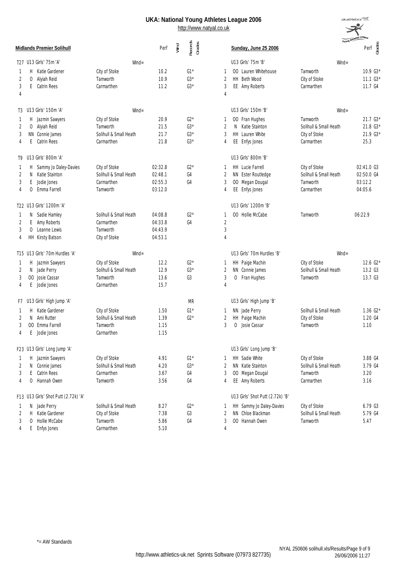

|                |              | Midlands Premier Solihull            |                        | Perf    | Wind | Records<br>Grades |                | Sunday, June 25 2006             | Young <b>Mill</b>      | Perf $\frac{88}{56}$ |
|----------------|--------------|--------------------------------------|------------------------|---------|------|-------------------|----------------|----------------------------------|------------------------|----------------------|
|                |              | T27 U13 Girls' 75m 'A'               | $W\!ind =$             |         |      |                   |                | U13 Girls' 75m 'B'               | $W\!in d =$            |                      |
| 1              |              | H Katie Gardener                     | City of Stoke          | 10.2    |      | $G1*$             | $\mathbf{1}$   | 00 Lauren Whitehouse             | Tamworth               | 10.9 G3*             |
| $\overline{2}$ | 0            | Alyiah Reid                          | Tamworth               | 10.9    |      | $63*$             | $\overline{2}$ | HH Beth Wood                     | City of Stoke          | $11.1\,$ G3*         |
| 3              | E.           | Catrin Rees                          | Carmarthen             | 11.2    |      | $G3*$             | 3              | EE Amy Roberts                   | Carmarthen             | 11.7 G4              |
| 4              |              |                                      |                        |         |      |                   | $\overline{4}$ |                                  |                        |                      |
| T3             |              | U13 Girls' 150m 'A'                  | $W\!ind =$             |         |      |                   |                | U13 Girls' 150m 'B'              | $W\!in d =$            |                      |
|                |              | H Jazmin Sawyers                     | City of Stoke          | 20.9    |      | $G2*$             | -1             | 00 Fran Hughes                   | Tamworth               | $21.7\;G3*$          |
| 2              |              | O Alyiah Reid                        | Tamworth               | 21.5    |      | $G3*$             | $\overline{2}$ | N Katie Stainton                 | Solihull & Small Heath | 21.8 G3*             |
| 3              |              | NN Connie James                      | Solihull & Small Heath | 21.7    |      | $63*$             | 3              | HH Lauren White                  | City of Stoke          | $21.9$ $G3*$         |
| 4              | E.           | <b>Catrin Rees</b>                   | Carmarthen             | 21.8    |      | $G3*$             | $\overline{4}$ | EE Enfys Jones                   | Carmarthen             | 25.3                 |
|                |              | T9 U13 Girls' 800m 'A'               |                        |         |      |                   |                | U13 Girls' 800m 'B'              |                        |                      |
| T.             |              | H Sammy Jo Daley-Davies              | City of Stoke          | 02:32.8 |      | $G2*$             | $\mathbf{1}$   | HH Lucie Farrell                 | City of Stoke          | 02:41.0 G3           |
| 2              | N            | Katie Stainton                       | Solihull & Small Heath | 02:48.1 |      | G4                | $\overline{2}$ | NN Ester Routledge               | Solihull & Small Heath | 02:50.0 G4           |
| 3              |              | F Jodie Jones                        | Carmarthen             | 02:55.3 |      | G4                | 3              | 00 Megan Dougal                  | Tamworth               | 03:12.2              |
| 4              | 0            | Emma Farrell                         | Tamworth               | 03:12.0 |      |                   | 4              | EE Enfys Jones                   | Carmarthen             | 04:05.6              |
|                |              | T22 U13 Girls' 1200m 'A'             |                        |         |      |                   |                | U13 Girls' 1200m 'B'             |                        |                      |
| -1             |              | N Sadie Hamley                       | Solihull & Small Heath | 04:08.8 |      | $G2*$             | $\mathbf{1}$   | 00 Hollie McCabe                 | Tamworth               | 06:22.9              |
| $\overline{2}$ | E            | Amy Roberts                          | Carmarthen             | 04:33.8 |      | G4                | $\overline{2}$ |                                  |                        |                      |
| 3              | 0            | Leanne Lewis                         | Tamworth               | 04:43.9 |      |                   | $\mathfrak{Z}$ |                                  |                        |                      |
| 4              |              | HH Kirsty Batson                     | City of Stoke          | 04:53.1 |      |                   | 4              |                                  |                        |                      |
|                |              | T15 U13 Girls' 70m Hurdles 'A'       | $W\!ind =$             |         |      |                   |                | U13 Girls' 70m Hurdles 'B'       | $W\!in d =$            |                      |
| 1              |              | H Jazmin Sawyers                     | City of Stoke          | 12.2    |      | $G2*$             | 1              | HH Paige Machin                  | City of Stoke          | $12.6\,G2*$          |
| 2              |              | N Jade Perry                         | Solihull & Small Heath | 12.9    |      | $G3*$             | $\overline{2}$ | NN Connie James                  | Solihull & Small Heath | 13.2 G3              |
| 3              |              | 00 Josie Cassar                      | Tamworth               | 13.6    |      | G <sub>3</sub>    | 3              | O Fran Hughes                    | Tamworth               | 13.7 G3              |
| 4              | E            | Jodie Jones                          | Carmarthen             | 15.7    |      |                   | 4              |                                  |                        |                      |
|                |              | F7 U13 Girls' High Jump 'A'          |                        |         |      | <b>MR</b>         |                | U13 Girls' High Jump 'B'         |                        |                      |
| 1              | Н.           | Katie Gardener                       | City of Stoke          | 1.50    |      | $G1*$             | -1             | NN Jade Perry                    | Solihull & Small Heath | $1.36\;G2*$          |
| 2              |              | N Ami Rutter                         | Solihull & Small Heath | 1.39    |      | $G2*$             | 2              | HH Paige Machin                  | City of Stoke          | 1.20 G4              |
| 3              |              | 00 Emma Farrell                      | Tamworth               | 1.15    |      |                   | 3              | O Josie Cassar                   | Tamworth               | 1.10                 |
| 4              | E.           | Jodie Jones                          | Carmarthen             | 1.15    |      |                   |                |                                  |                        |                      |
|                |              | F23 U13 Girls' Long Jump 'A'         |                        |         |      |                   |                | U13 Girls' Long Jump 'B'         |                        |                      |
| -1             |              | H Jazmin Sawyers                     | City of Stoke          | 4.91    |      | $G1*$             | $\mathbf{1}$   | HH Sadie White                   | City of Stoke          | 3.88 G4              |
| $\overline{2}$ |              | N Connie James                       | Solihull & Small Heath | 4.20    |      | $G3*$             | $\overline{2}$ | NN Katie Stainton                | Solihull & Small Heath | 3.79 G4              |
| 3              | Е            | Catrin Rees                          | Carmarthen             | 3.67    |      | G4                | 3              | 00 Megan Dougal                  | Tamworth               | 3.20                 |
| 4              | 0            | Hannah Owen                          | Tamworth               | 3.56    |      | G4                | 4              | EE Amy Roberts                   | Carmarthen             | 3.16                 |
|                |              | F13 U13 Girls' Shot Putt (2.72k) 'A' |                        |         |      |                   |                | U13 Girls' Shot Putt (2.72k) 'B' |                        |                      |
| -1             |              | N Jade Perry                         | Solihull & Small Heath | 8.27    |      | $G2*$             | $\mathbf{1}$   | HH Sammy Jo Daley-Davies         | City of Stoke          | 6.79 G3              |
| 2              | H.           | Katie Gardener                       | City of Stoke          | 7.38    |      | G3                | $\overline{2}$ | NN Chloe Blackman                | Solihull & Small Heath | 5.79 G4              |
| 3              | $\mathbf{0}$ | Hollie McCabe                        | Tamworth               | 5.86    |      | G4                | 3              | 00 Hannah Owen                   | Tamworth               | 5.47                 |
| 4              | E            | Enfys Jones                          | Carmarthen             | 5.10    |      |                   | 4              |                                  |                        |                      |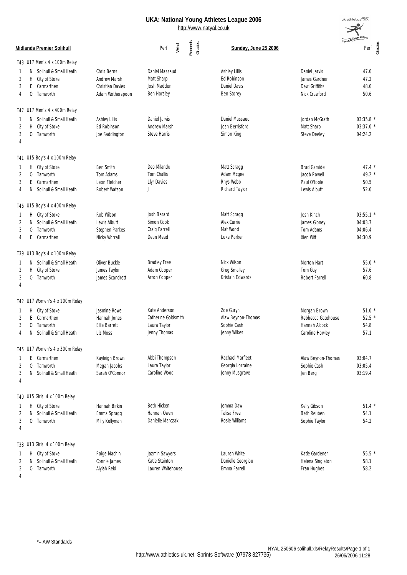$uk:$ athletics $\equiv$ 

|                   |                                                                                      |                                                                     | http://www.natyal.co.uk                                              | UNA. National Toung Atmetes League 2000                                         |                                                                        | Athletes League                            |
|-------------------|--------------------------------------------------------------------------------------|---------------------------------------------------------------------|----------------------------------------------------------------------|---------------------------------------------------------------------------------|------------------------------------------------------------------------|--------------------------------------------|
|                   | Midlands Premier Solihull                                                            |                                                                     | Records<br>Grades<br>Wind<br>Perf                                    | Sunday, June 25 2006                                                            |                                                                        | Perf<br><del>d</del> g<br>G                |
|                   | T43 U17 Men's 4 x 100m Relay                                                         |                                                                     |                                                                      |                                                                                 |                                                                        |                                            |
| 1<br>2<br>3<br>4  | N Solihull & Small Heath<br>City of Stoke<br>H.<br>Carmarthen<br>E<br>0<br>Tamworth  | Chris Berns<br>Andrew Marsh<br>Christian Davies<br>Adam Wotherspoon | Daniel Massaud<br>Matt Sharp<br>Josh Madden<br><b>Ben Horsley</b>    | <b>Ashley Lillis</b><br><b>Ed Robinson</b><br>Daniel Davis<br><b>Ben Storey</b> | Daniel Jarvis<br>James Gardner<br>Dewi Griffiths<br>Nick Crawford      | 47.0<br>47.2<br>48.0<br>50.6               |
|                   | T47 U17 Men's 4 x 400m Relay                                                         |                                                                     |                                                                      |                                                                                 |                                                                        |                                            |
| -1<br>2<br>3<br>4 | N Solihull & Small Heath<br>City of Stoke<br>H<br>0 Tamworth                         | Ashley Lillis<br><b>Ed Robinson</b><br>Joe Saddington               | Daniel Jarvis<br>Andrew Marsh<br><b>Steve Harris</b>                 | Daniel Massaud<br>Josh Berrisford<br>Simon King                                 | Jordan McGrath<br>Matt Sharp<br><b>Steve Deeley</b>                    | 03:35.8 *<br>03:37.0 *<br>04:24.2          |
|                   | T41 U15 Boy's 4 x 100m Relay                                                         |                                                                     |                                                                      |                                                                                 |                                                                        |                                            |
| 1<br>2<br>3<br>4  | H City of Stoke<br>Tamworth<br>0<br>Carmarthen<br>E.<br>Solihull & Small Heath<br>N. | <b>Ben Smith</b><br>Tom Adams<br>Leon Fletcher<br>Robert Watson     | Deo Milandu<br>Tom Challis<br>Llyr Davies<br>$\overline{1}$          | Matt Scragg<br>Adam Mcgee<br>Rhys Webb<br>Richard Taylor                        | <b>Brad Garside</b><br>Jacob Powell<br>Paul O'toole<br>Lewis Albutt    | $47.4*$<br>49.2 *<br>50.5<br>52.0          |
|                   | T46 U15 Boy's 4 x 400m Relay                                                         |                                                                     |                                                                      |                                                                                 |                                                                        |                                            |
| 1<br>2<br>3<br>4  | H City of Stoke<br>Solihull & Small Heath<br>N.<br>Tamworth<br>0<br>Carmarthen<br>E  | Rob Wilson<br>Lewis Albutt<br>Stephen Parkes<br>Nicky Worrall       | Josh Barard<br>Simon Cook<br>Craig Farrell<br>Dean Mead              | Matt Scragg<br>Alex Currie<br>Mat Wood<br>Luke Parker                           | Josh Kinch<br>James Gibney<br>Tom Adams<br>Xien Witt                   | 03:55.1 *<br>04:03.7<br>04:06.4<br>04:30.9 |
|                   | T39 U13 Boy's 4 x 100m Relay                                                         |                                                                     |                                                                      |                                                                                 |                                                                        |                                            |
| -1<br>2<br>3<br>4 | N Solihull & Small Heath<br>City of Stoke<br>H<br>O Tamworth                         | Oliver Buckle<br>James Taylor<br>James Scandrett                    | <b>Bradley Free</b><br>Adam Cooper<br>Arron Cooper                   | Nick Wilson<br><b>Greg Smalley</b><br>Kristain Edwards                          | Morton Hart<br>Tom Guy<br>Robert Farrell                               | 55.0 *<br>57.6<br>60.8                     |
|                   | T42 U17 Women's 4 x 100m Relay                                                       |                                                                     |                                                                      |                                                                                 |                                                                        |                                            |
| -1<br>2           | H City of Stoke<br>E Carmarthen<br>0 Tamworth<br>Solihull & Small Heath<br>N         | Jasmine Rowe<br>Hannah Jones<br>Ellie Barrett<br>Liz Moss           | Kate Anderson<br>Catherine Goldsmith<br>Laura Taylor<br>Jenny Thomas | Zoe Guryn<br>Alaw Beynon-Thomas<br>Sophie Cash<br>Jenny Wilkes                  | Morgan Brown<br>Rebbecca Gatehouse<br>Hannah Alcock<br>Caroline Howley | $51.0*$<br>$52.5*$<br>54.8<br>57.1         |
|                   | T45 U17 Women's 4 x 300m Relay                                                       |                                                                     |                                                                      |                                                                                 |                                                                        |                                            |
| 2<br>3<br>4       | E Carmarthen<br>Tamworth<br>0<br>Solihull & Small Heath<br>N.                        | Kayleigh Brown<br>Megan Jacobs<br>Sarah O'Connor                    | Abbi Thompson<br>Laura Taylor<br>Caroline Wood                       | Rachael Marfleet<br>Georgia Lorraine<br>Jenny Musgrave                          | Alaw Beynon-Thomas<br>Sophie Cash<br>Jen Berg                          | 03:04.7<br>03:05.4<br>03:19.4              |
|                   | T40 U15 Girls' 4 x 100m Relay                                                        |                                                                     |                                                                      |                                                                                 |                                                                        |                                            |
| 2<br>3<br>4       | H City of Stoke<br>Solihull & Small Heath<br>N<br>0 Tamworth                         | Hannah Birkin<br>Emma Spragg<br>Milly Kellyman                      | <b>Beth Hicken</b><br>Hannah Owen<br>Danielle Marczak                | Jemma Daw<br>Talisa Free<br>Rosie Williams                                      | Kelly Gibson<br><b>Beth Reuben</b><br>Sophie Taylor                    | $51.4*$<br>54.1<br>54.2                    |
|                   | T38 U13 Girls' 4 x 100m Relay                                                        |                                                                     |                                                                      |                                                                                 |                                                                        |                                            |
| 2<br>3            | H City of Stoke<br>N Solihull & Small Heath<br>0 Tamworth                            | Paige Machin<br>Connie James<br>Alyiah Reid                         | Jazmin Sawyers<br>Katie Stainton<br>Lauren Whitehouse                | Lauren White<br>Danielle Georgiou<br>Emma Farrell                               | Katie Gardener<br>Helena Singleton<br>Fran Hughes                      | $55.5*$<br>58.1<br>58.2                    |

4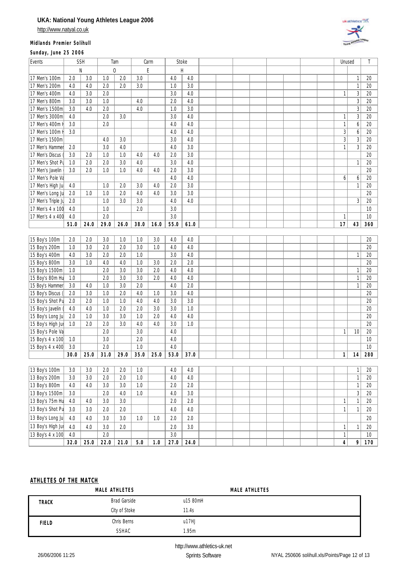http://www.natyal.co.uk

#### **Midlands Premier Solihull**

**Sunday, June 25 2006**



| N<br>$\Omega$<br>E<br>H<br>$\overline{3.0}$<br>$\overline{2.0}$<br>17 Men's 100m<br>3.0<br>4.0<br>$\mathbf{1}$<br>2.0<br>1.0<br>4.0<br>3.0<br>4.0<br>2.0<br>2.0<br>3.0<br>$\mathbf{1}$<br>17 Men's 200m<br>4.0<br>1.0 | 20<br>20         |
|-----------------------------------------------------------------------------------------------------------------------------------------------------------------------------------------------------------------------|------------------|
|                                                                                                                                                                                                                       |                  |
|                                                                                                                                                                                                                       |                  |
|                                                                                                                                                                                                                       |                  |
| $\overline{3}$<br>$\overline{2.0}$<br>3.0<br>3.0<br>4.0<br>17 Men's 400m<br>4.0<br>$\mathbf{1}$                                                                                                                       | 20               |
| $\overline{3}$<br>1.0<br>17 Men's 800m<br>3.0<br>4.0<br>2.0<br>4.0<br>3.0                                                                                                                                             | $\overline{20}$  |
| $\overline{3}$<br>$\overline{2.0}$<br>4.0<br>3.0<br>17 Men's 1500m<br>4.0<br>1.0<br>3.0                                                                                                                               | 20               |
| $\sqrt{3}$<br>17 Men's 3000m<br>2.0<br>3.0<br>3.0<br>4.0<br>4.0<br>$\mathbf{1}$                                                                                                                                       | 20               |
| 17 Men's 400m<br>2.0<br>4.0<br>$\mathbf{1}$<br>6<br>3.0<br>4.0                                                                                                                                                        | 20               |
| 17 Men's 100m<br>3.0<br>4.0<br>3<br>6<br>4.0                                                                                                                                                                          | $\overline{20}$  |
| $\mathfrak{Z}$<br>$\sqrt{3}$<br>17 Men's 1500m<br>3.0<br>4.0<br>4.0<br>3.0                                                                                                                                            | 20               |
| 3.0<br>3.0<br>$\mathbf{1}$<br>$\sqrt{3}$<br>2.0<br>4.0<br>4.0<br>17 Men's Hammer                                                                                                                                      | 20               |
| 3.0<br>2.0<br>1.0<br>1.0<br>2.0<br>17 Men's Discus<br>3.0<br>4.0<br>4.0                                                                                                                                               | 20               |
| 2.0<br>2.0<br>3.0<br>4.0<br>3.0<br>4.0<br>17 Men's Shot Pu<br>1.0<br>$\mathbf{1}$                                                                                                                                     | 20               |
| 2.0<br>1.0<br>1.0<br>4.0<br>3.0<br>17 Men's Javelin<br>3.0<br>4.0<br>2.0                                                                                                                                              | 20               |
| 17 Men's Pole Va<br>4.0<br>4.0<br>6<br>6                                                                                                                                                                              | 20               |
| 2.0<br>3.0<br>17 Men's High Ju<br>4.0<br>1.0<br>2.0<br>3.0<br>4.0<br>$\mathbf{1}$                                                                                                                                     | 20               |
| 1.0<br>1.0<br>2.0<br>4.0<br>3.0<br>17 Men's Long Ju<br>2.0<br>4.0<br>3.0                                                                                                                                              | 20               |
| 1.0<br>3.0<br>3.0<br>4.0<br>3<br>17 Men's Triple Jr<br>2.0<br>4.0                                                                                                                                                     | 20               |
| 1.0<br>2.0<br>3.0<br>17 Men's 4 x 100<br>4.0                                                                                                                                                                          | 10               |
| 2.0<br>3.0<br>17 Men's 4 x 400<br>4.0<br>$\mathbf{1}$                                                                                                                                                                 | $10$             |
| 29.0<br>51.0<br>24.0<br>55.0<br>61.0<br>17<br>43<br>26.0<br>38.0<br>16.0                                                                                                                                              | 360              |
|                                                                                                                                                                                                                       |                  |
| 15 Boy's 100m<br>2.0<br>2.0<br>3.0<br>1.0<br>1.0<br>3.0<br>4.0<br>4.0                                                                                                                                                 | 20               |
| 3.0<br>2.0<br>3.0<br>2.0<br>4.0<br>4.0<br>15 Boy's 200m<br>1.0<br>1.0                                                                                                                                                 | 20               |
| 15 Boy's 400m<br>4.0<br>3.0<br>2.0<br>2.0<br>1.0<br>3.0<br>4.0<br>1                                                                                                                                                   | 20               |
| 2.0<br>15 Boy's 800m<br>3.0<br>1.0<br>4.0<br>4.0<br>1.0<br>3.0<br>2.0                                                                                                                                                 | 20               |
| 3.0<br>2.0<br>3.0<br>2.0<br>4.0<br>4.0<br>15 Boy's 1500m<br>1.0<br>$\mathbf{1}$                                                                                                                                       | 20               |
| 2.0<br>3.0<br>15 Boy's 80m Hu<br>3.0<br>2.0<br>4.0<br>$\mathbf{1}$<br>1.0<br>4.0                                                                                                                                      | 20               |
| 2.0<br>3.0<br>1.0<br>3.0<br>4.0<br>2.0<br>$\mathbf{1}$<br>15 Boy's Hammer<br>4.0                                                                                                                                      | 20               |
| 2.0<br>4.0<br>15 Boy's Discus<br>3.0<br>1.0<br>3.0<br>4.0<br>2.0<br>1.0                                                                                                                                               | 20               |
| 15 Boy's Shot Pu<br>2.0<br>2.0<br>1.0<br>1.0<br>4.0<br>3.0<br>3.0<br>4.0                                                                                                                                              | 20               |
| 15 Boy's Javelin<br>4.0<br>1.0<br>2.0<br>2.0<br>3.0<br>3.0<br>1.0<br>4.0                                                                                                                                              | 20               |
| 1.0<br>3.0<br>3.0<br>1.0<br>2.0<br>4.0<br>15 Boy's Long Ju<br>2.0<br>4.0                                                                                                                                              | 20               |
| 2.0<br>3.0<br>4.0<br>3.0<br>1.0<br>15 Boy's High Jur<br>1.0<br>2.0<br>4.0                                                                                                                                             | 20               |
| 2.0<br>3.0<br>$\mathbf{1}$<br>15 Boy's Pole Va<br>4.0<br>10                                                                                                                                                           | 20               |
| 15 Boy's 4 x 100<br>3.0<br>2.0<br>4.0<br>1.0<br>2.0<br>1.0<br>3.0<br>4.0                                                                                                                                              | 10<br>10         |
| 15 Boy's 4 x 400<br>30.0<br>25.0<br>31.0<br>35.0<br>53.0<br>37.0<br>1<br>29.0<br>25.0<br>14                                                                                                                           | 280              |
|                                                                                                                                                                                                                       |                  |
| 13 Boy's 100m<br>3.0<br>2.0<br>1.0<br>3.0<br>2.0<br>4.0<br>4.0<br>$\mathbf{1}$                                                                                                                                        | 20               |
| 13 Boy's 200m<br>3.0<br>2.0<br>2.0<br>1.0<br>3.0<br>4.0<br>4.0<br>$\mathbf{1}$                                                                                                                                        | 20               |
| 13 Boy's 800m<br>3.0<br>3.0<br>$1.0\,$<br>$2.0\,$<br>$\ensuremath{\mathsf{1}}$<br>4.0<br>4.0<br>2.0                                                                                                                   | $20\,$           |
| $\mathfrak{Z}$<br>2.0<br>4.0<br>3.0<br>13 Boy's 1500m<br>3.0<br>$1.0\,$<br>4.0                                                                                                                                        | 20               |
| 2.0<br>2.0<br>13 Boy's 75m Hu<br>4.0<br>4.0<br>3.0<br>3.0<br>$\mathbbm{1}$<br>$\mathbf{1}$                                                                                                                            | $20\,$           |
| 13 Boy's Shot Pu<br>3.0<br>3.0<br>$2.0\,$<br>2.0<br>4.0<br>4.0<br>1<br>$\mathbf{1}$                                                                                                                                   | 20               |
| 13 Boy's Long Ju<br>2.0<br>4.0<br>4.0<br>3.0<br>3.0<br>$1.0\,$<br>2.0<br>1.0                                                                                                                                          | $20\,$           |
| 13 Boy's High Jur<br>3.0<br>3.0<br>4.0                                                                                                                                                                                |                  |
| 4.0<br>2.0<br>$2.0\,$<br>$\mathbf{1}$<br>$\mathbf{1}$<br>13 Boy's 4 x 100<br>2.0<br>4.0<br>3.0<br>$\mathbf{1}$                                                                                                        | $20\,$<br>$10\,$ |
| 32.0<br>22.0<br>21.0<br>$5.0\,$<br>27.0<br>$24.0\,$<br>$\overline{4}$<br>9<br>25.0<br>$1.0$                                                                                                                           | 170              |

#### **ATHLETES OF THE MATCH**

|              | MALE ATHLETES | MALE ATHLETES |  |
|--------------|---------------|---------------|--|
| <b>TRACK</b> | Brad Garside  | u15 80mH      |  |
|              | City of Stoke | 11.4s         |  |
| <b>FIELD</b> | Chris Berns   | u17HJ         |  |
|              | SSHAC         | 1.95m         |  |